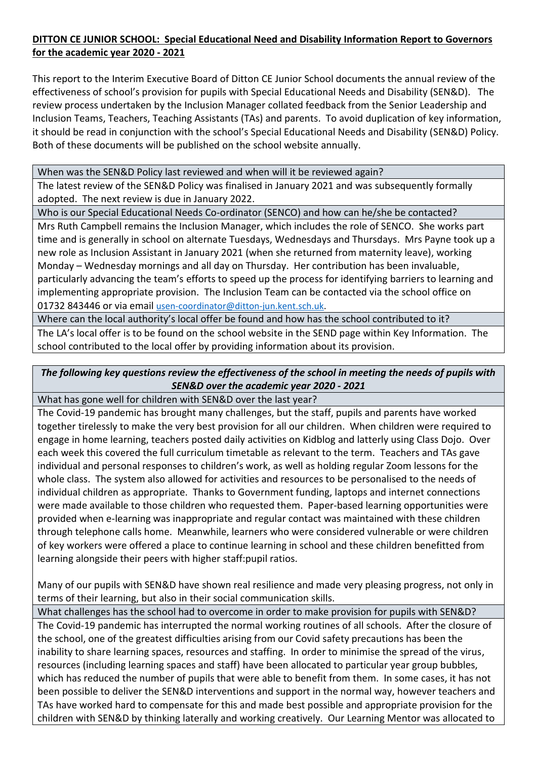## **DITTON CE JUNIOR SCHOOL: Special Educational Need and Disability Information Report to Governors for the academic year 2020 - 2021**

This report to the Interim Executive Board of Ditton CE Junior School documents the annual review of the effectiveness of school's provision for pupils with Special Educational Needs and Disability (SEN&D). The review process undertaken by the Inclusion Manager collated feedback from the Senior Leadership and Inclusion Teams, Teachers, Teaching Assistants (TAs) and parents. To avoid duplication of key information, it should be read in conjunction with the school's Special Educational Needs and Disability (SEN&D) Policy. Both of these documents will be published on the school website annually.

When was the SEN&D Policy last reviewed and when will it be reviewed again?

The latest review of the SEN&D Policy was finalised in January 2021 and was subsequently formally adopted. The next review is due in January 2022.

Who is our Special Educational Needs Co-ordinator (SENCO) and how can he/she be contacted?

Mrs Ruth Campbell remains the Inclusion Manager, which includes the role of SENCO. She works part time and is generally in school on alternate Tuesdays, Wednesdays and Thursdays. Mrs Payne took up a new role as Inclusion Assistant in January 2021 (when she returned from maternity leave), working Monday – Wednesday mornings and all day on Thursday. Her contribution has been invaluable, particularly advancing the team's efforts to speed up the process for identifying barriers to learning and implementing appropriate provision. The Inclusion Team can be contacted via the school office on 01732 843446 or via email [usen-coordinator@ditton-jun.kent.sch.uk.](mailto:usen-coordinator@ditton-jun.kent.sch.uk)

Where can the local authority's local offer be found and how has the school contributed to it?

The LA's local offer is to be found on the school website in the SEND page within Key Information. The school contributed to the local offer by providing information about its provision.

## *The following key questions review the effectiveness of the school in meeting the needs of pupils with SEN&D over the academic year 2020 - 2021*

What has gone well for children with SEN&D over the last year?

The Covid-19 pandemic has brought many challenges, but the staff, pupils and parents have worked together tirelessly to make the very best provision for all our children. When children were required to engage in home learning, teachers posted daily activities on Kidblog and latterly using Class Dojo. Over each week this covered the full curriculum timetable as relevant to the term. Teachers and TAs gave individual and personal responses to children's work, as well as holding regular Zoom lessons for the whole class. The system also allowed for activities and resources to be personalised to the needs of individual children as appropriate. Thanks to Government funding, laptops and internet connections were made available to those children who requested them. Paper-based learning opportunities were provided when e-learning was inappropriate and regular contact was maintained with these children through telephone calls home. Meanwhile, learners who were considered vulnerable or were children of key workers were offered a place to continue learning in school and these children benefitted from learning alongside their peers with higher staff:pupil ratios.

Many of our pupils with SEN&D have shown real resilience and made very pleasing progress, not only in terms of their learning, but also in their social communication skills.

What challenges has the school had to overcome in order to make provision for pupils with SEN&D? The Covid-19 pandemic has interrupted the normal working routines of all schools. After the closure of the school, one of the greatest difficulties arising from our Covid safety precautions has been the inability to share learning spaces, resources and staffing. In order to minimise the spread of the virus, resources (including learning spaces and staff) have been allocated to particular year group bubbles, which has reduced the number of pupils that were able to benefit from them. In some cases, it has not been possible to deliver the SEN&D interventions and support in the normal way, however teachers and TAs have worked hard to compensate for this and made best possible and appropriate provision for the children with SEN&D by thinking laterally and working creatively. Our Learning Mentor was allocated to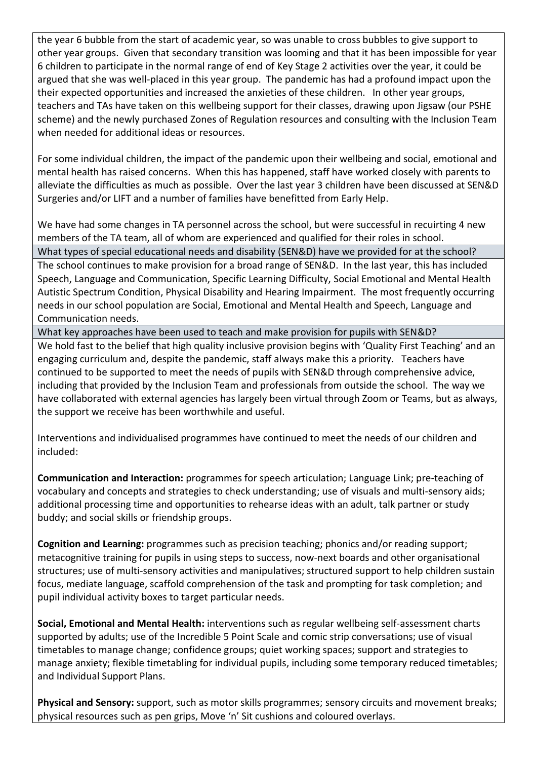the year 6 bubble from the start of academic year, so was unable to cross bubbles to give support to other year groups. Given that secondary transition was looming and that it has been impossible for year 6 children to participate in the normal range of end of Key Stage 2 activities over the year, it could be argued that she was well-placed in this year group. The pandemic has had a profound impact upon the their expected opportunities and increased the anxieties of these children. In other year groups, teachers and TAs have taken on this wellbeing support for their classes, drawing upon Jigsaw (our PSHE scheme) and the newly purchased Zones of Regulation resources and consulting with the Inclusion Team when needed for additional ideas or resources.

For some individual children, the impact of the pandemic upon their wellbeing and social, emotional and mental health has raised concerns. When this has happened, staff have worked closely with parents to alleviate the difficulties as much as possible. Over the last year 3 children have been discussed at SEN&D Surgeries and/or LIFT and a number of families have benefitted from Early Help.

We have had some changes in TA personnel across the school, but were successful in recuirting 4 new members of the TA team, all of whom are experienced and qualified for their roles in school.

What types of special educational needs and disability (SEN&D) have we provided for at the school? The school continues to make provision for a broad range of SEN&D. In the last year, this has included Speech, Language and Communication, Specific Learning Difficulty, Social Emotional and Mental Health Autistic Spectrum Condition, Physical Disability and Hearing Impairment. The most frequently occurring needs in our school population are Social, Emotional and Mental Health and Speech, Language and Communication needs.

What key approaches have been used to teach and make provision for pupils with SEN&D?

We hold fast to the belief that high quality inclusive provision begins with 'Quality First Teaching' and an engaging curriculum and, despite the pandemic, staff always make this a priority. Teachers have continued to be supported to meet the needs of pupils with SEN&D through comprehensive advice, including that provided by the Inclusion Team and professionals from outside the school. The way we have collaborated with external agencies has largely been virtual through Zoom or Teams, but as always, the support we receive has been worthwhile and useful.

Interventions and individualised programmes have continued to meet the needs of our children and included:

**Communication and Interaction:** programmes for speech articulation; Language Link; pre-teaching of vocabulary and concepts and strategies to check understanding; use of visuals and multi-sensory aids; additional processing time and opportunities to rehearse ideas with an adult, talk partner or study buddy; and social skills or friendship groups.

**Cognition and Learning:** programmes such as precision teaching; phonics and/or reading support; metacognitive training for pupils in using steps to success, now-next boards and other organisational structures; use of multi-sensory activities and manipulatives; structured support to help children sustain focus, mediate language, scaffold comprehension of the task and prompting for task completion; and pupil individual activity boxes to target particular needs.

**Social, Emotional and Mental Health:** interventions such as regular wellbeing self-assessment charts supported by adults; use of the Incredible 5 Point Scale and comic strip conversations; use of visual timetables to manage change; confidence groups; quiet working spaces; support and strategies to manage anxiety; flexible timetabling for individual pupils, including some temporary reduced timetables; and Individual Support Plans.

**Physical and Sensory:** support, such as motor skills programmes; sensory circuits and movement breaks; physical resources such as pen grips, Move 'n' Sit cushions and coloured overlays.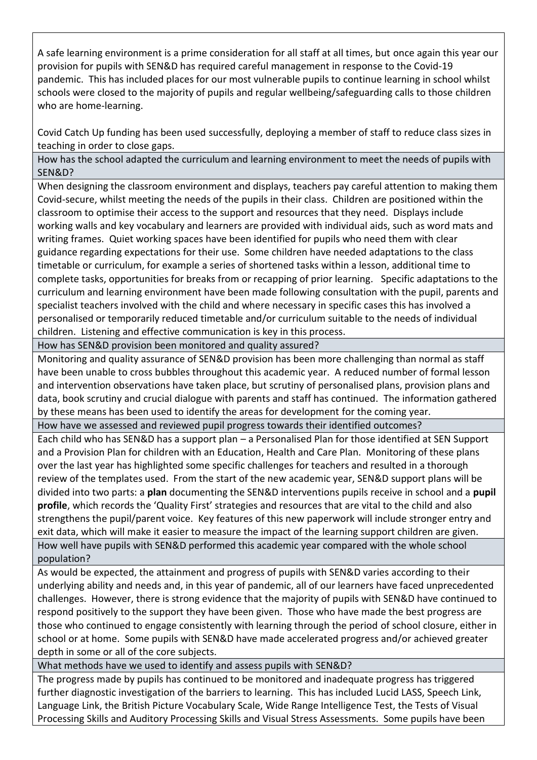A safe learning environment is a prime consideration for all staff at all times, but once again this year our provision for pupils with SEN&D has required careful management in response to the Covid-19 pandemic. This has included places for our most vulnerable pupils to continue learning in school whilst schools were closed to the majority of pupils and regular wellbeing/safeguarding calls to those children who are home-learning.

Covid Catch Up funding has been used successfully, deploying a member of staff to reduce class sizes in teaching in order to close gaps.

How has the school adapted the curriculum and learning environment to meet the needs of pupils with SEN&D?

When designing the classroom environment and displays, teachers pay careful attention to making them Covid-secure, whilst meeting the needs of the pupils in their class. Children are positioned within the classroom to optimise their access to the support and resources that they need. Displays include working walls and key vocabulary and learners are provided with individual aids, such as word mats and writing frames. Quiet working spaces have been identified for pupils who need them with clear guidance regarding expectations for their use. Some children have needed adaptations to the class timetable or curriculum, for example a series of shortened tasks within a lesson, additional time to complete tasks, opportunities for breaks from or recapping of prior learning. Specific adaptations to the curriculum and learning environment have been made following consultation with the pupil, parents and specialist teachers involved with the child and where necessary in specific cases this has involved a personalised or temporarily reduced timetable and/or curriculum suitable to the needs of individual children. Listening and effective communication is key in this process.

How has SEN&D provision been monitored and quality assured?

Monitoring and quality assurance of SEN&D provision has been more challenging than normal as staff have been unable to cross bubbles throughout this academic year. A reduced number of formal lesson and intervention observations have taken place, but scrutiny of personalised plans, provision plans and data, book scrutiny and crucial dialogue with parents and staff has continued. The information gathered by these means has been used to identify the areas for development for the coming year.

How have we assessed and reviewed pupil progress towards their identified outcomes?

Each child who has SEN&D has a support plan – a Personalised Plan for those identified at SEN Support and a Provision Plan for children with an Education, Health and Care Plan. Monitoring of these plans over the last year has highlighted some specific challenges for teachers and resulted in a thorough review of the templates used. From the start of the new academic year, SEN&D support plans will be divided into two parts: a **plan** documenting the SEN&D interventions pupils receive in school and a **pupil profile**, which records the 'Quality First' strategies and resources that are vital to the child and also strengthens the pupil/parent voice. Key features of this new paperwork will include stronger entry and exit data, which will make it easier to measure the impact of the learning support children are given. How well have pupils with SEN&D performed this academic year compared with the whole school population?

As would be expected, the attainment and progress of pupils with SEN&D varies according to their underlying ability and needs and, in this year of pandemic, all of our learners have faced unprecedented challenges. However, there is strong evidence that the majority of pupils with SEN&D have continued to respond positively to the support they have been given. Those who have made the best progress are those who continued to engage consistently with learning through the period of school closure, either in school or at home. Some pupils with SEN&D have made accelerated progress and/or achieved greater depth in some or all of the core subjects.

What methods have we used to identify and assess pupils with SEN&D?

The progress made by pupils has continued to be monitored and inadequate progress has triggered further diagnostic investigation of the barriers to learning. This has included Lucid LASS, Speech Link, Language Link, the British Picture Vocabulary Scale, Wide Range Intelligence Test, the Tests of Visual Processing Skills and Auditory Processing Skills and Visual Stress Assessments. Some pupils have been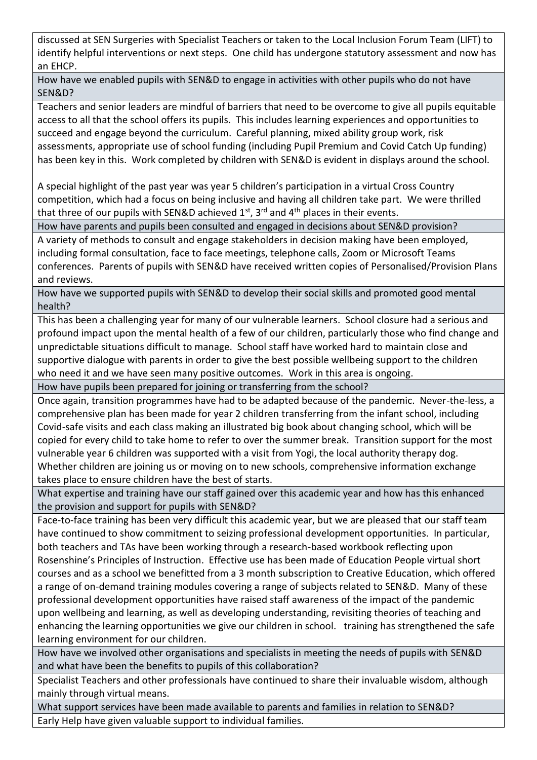discussed at SEN Surgeries with Specialist Teachers or taken to the Local Inclusion Forum Team (LIFT) to identify helpful interventions or next steps. One child has undergone statutory assessment and now has an EHCP.

How have we enabled pupils with SEN&D to engage in activities with other pupils who do not have SEN&D?

Teachers and senior leaders are mindful of barriers that need to be overcome to give all pupils equitable access to all that the school offers its pupils. This includes learning experiences and opportunities to succeed and engage beyond the curriculum. Careful planning, mixed ability group work, risk assessments, appropriate use of school funding (including Pupil Premium and Covid Catch Up funding) has been key in this. Work completed by children with SEN&D is evident in displays around the school.

A special highlight of the past year was year 5 children's participation in a virtual Cross Country competition, which had a focus on being inclusive and having all children take part. We were thrilled that three of our pupils with SEN&D achieved  $1<sup>st</sup>$ , 3<sup>rd</sup> and  $4<sup>th</sup>$  places in their events.

How have parents and pupils been consulted and engaged in decisions about SEN&D provision?

A variety of methods to consult and engage stakeholders in decision making have been employed, including formal consultation, face to face meetings, telephone calls, Zoom or Microsoft Teams conferences. Parents of pupils with SEN&D have received written copies of Personalised/Provision Plans and reviews.

How have we supported pupils with SEN&D to develop their social skills and promoted good mental health?

This has been a challenging year for many of our vulnerable learners. School closure had a serious and profound impact upon the mental health of a few of our children, particularly those who find change and unpredictable situations difficult to manage. School staff have worked hard to maintain close and supportive dialogue with parents in order to give the best possible wellbeing support to the children who need it and we have seen many positive outcomes. Work in this area is ongoing.

How have pupils been prepared for joining or transferring from the school?

Once again, transition programmes have had to be adapted because of the pandemic. Never-the-less, a comprehensive plan has been made for year 2 children transferring from the infant school, including Covid-safe visits and each class making an illustrated big book about changing school, which will be copied for every child to take home to refer to over the summer break. Transition support for the most vulnerable year 6 children was supported with a visit from Yogi, the local authority therapy dog. Whether children are joining us or moving on to new schools, comprehensive information exchange takes place to ensure children have the best of starts.

What expertise and training have our staff gained over this academic year and how has this enhanced the provision and support for pupils with SEN&D?

Face-to-face training has been very difficult this academic year, but we are pleased that our staff team have continued to show commitment to seizing professional development opportunities. In particular, both teachers and TAs have been working through a research-based workbook reflecting upon Rosenshine's Principles of Instruction. Effective use has been made of Education People virtual short courses and as a school we benefitted from a 3 month subscription to Creative Education, which offered a range of on-demand training modules covering a range of subjects related to SEN&D. Many of these professional development opportunities have raised staff awareness of the impact of the pandemic upon wellbeing and learning, as well as developing understanding, revisiting theories of teaching and enhancing the learning opportunities we give our children in school. training has strengthened the safe learning environment for our children.

How have we involved other organisations and specialists in meeting the needs of pupils with SEN&D and what have been the benefits to pupils of this collaboration?

Specialist Teachers and other professionals have continued to share their invaluable wisdom, although mainly through virtual means.

What support services have been made available to parents and families in relation to SEN&D? Early Help have given valuable support to individual families.